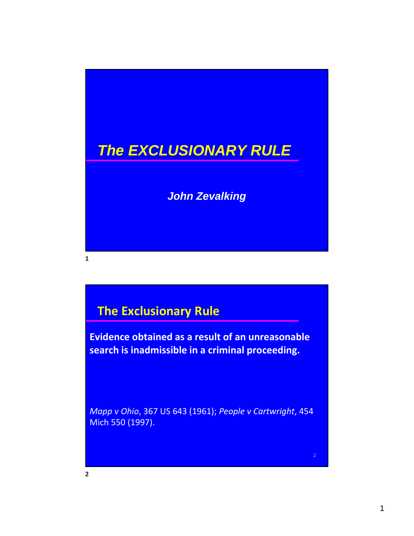# *The EXCLUSIONARY RULE*

*John Zevalking*

## **The Exclusionary Rule**

**Evidence obtained as a result of an unreasonable search is inadmissible in a criminal proceeding.**

*Mapp v Ohio*, 367 US 643 (1961); *People v Cartwright*, 454 Mich 550 (1997).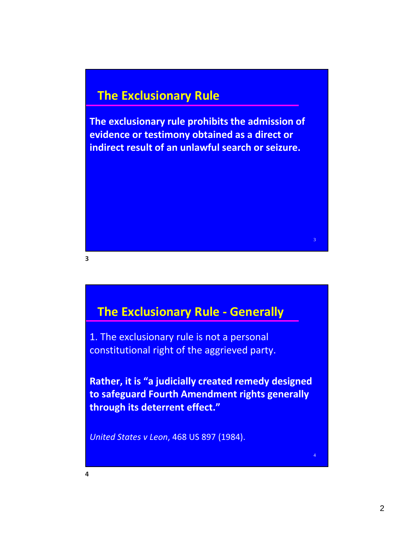## **The Exclusionary Rule**

**The exclusionary rule prohibits the admission of evidence or testimony obtained as a direct or indirect result of an unlawful search or seizure.**

**3**

## **The Exclusionary Rule ‐ Generally**

1. The exclusionary rule is not a personal constitutional right of the aggrieved party.

**Rather, it is "a judicially created remedy designed to safeguard Fourth Amendment rights generally through its deterrent effect."**

*United States v Leon*, 468 US 897 (1984).

3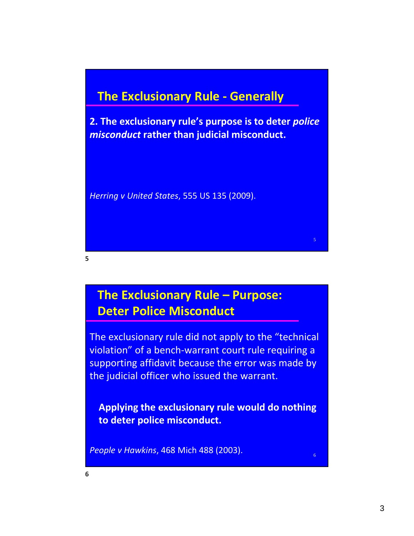## **The Exclusionary Rule ‐ Generally**

**2. The exclusionary rule's purpose is to deter** *police misconduct* **rather than judicial misconduct.**

*Herring v United States*, 555 US 135 (2009).

## **The Exclusionary Rule – Purpose: Deter Police Misconduct**

The exclusionary rule did not apply to the "technical violation" of a bench‐warrant court rule requiring a supporting affidavit because the error was made by the judicial officer who issued the warrant.

 **Applying the exclusionary rule would do nothing to deter police misconduct.**

*People v Hawkins*, 468 Mich 488 (2003).

**5**

5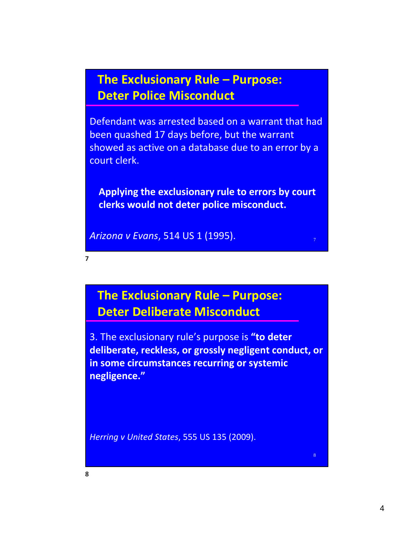## **The Exclusionary Rule – Purpose: Deter Police Misconduct**

Defendant was arrested based on a warrant that had been quashed 17 days before, but the warrant showed as active on a database due to an error by a court clerk.

 **Applying the exclusionary rule to errors by court clerks would not deter police misconduct.**

7

8

*Arizona v Evans*, 514 US 1 (1995).

**The Exclusionary Rule – Purpose: Deter Deliberate Misconduct**

3. The exclusionary rule's purpose is **"to deter deliberate, reckless, or grossly negligent conduct, or in some circumstances recurring or systemic negligence."**

*Herring v United States*, 555 US 135 (2009).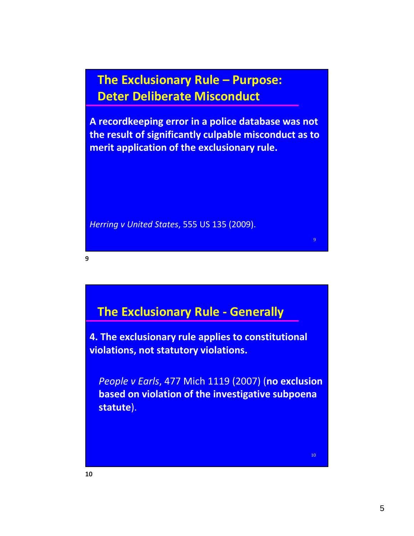**The Exclusionary Rule – Purpose: Deter Deliberate Misconduct**

**A recordkeeping error in a police database was not the result of significantly culpable misconduct as to merit application of the exclusionary rule.**

*Herring v United States*, 555 US 135 (2009).

**9**

## **The Exclusionary Rule ‐ Generally**

**4. The exclusionary rule applies to constitutional violations, not statutory violations.**

 *People v Earls*, 477 Mich 1119 (2007) (**no exclusion based on violation of the investigative subpoena statute**).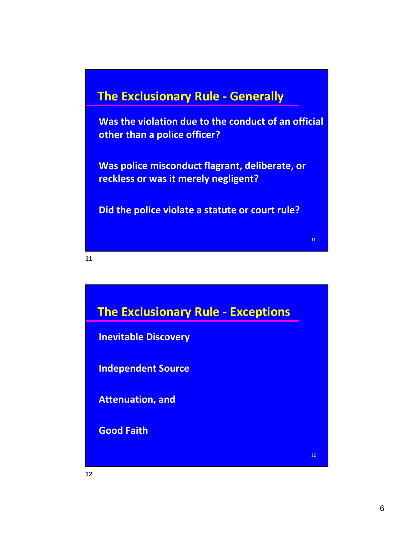## **The Exclusionary Rule ‐ Generally**

 **Was the violation due to the conduct of an official other than a police officer?**

 **Was police misconduct flagrant, deliberate, or reckless or was it merely negligent?**

**Did the police violate a statute or court rule?**

11

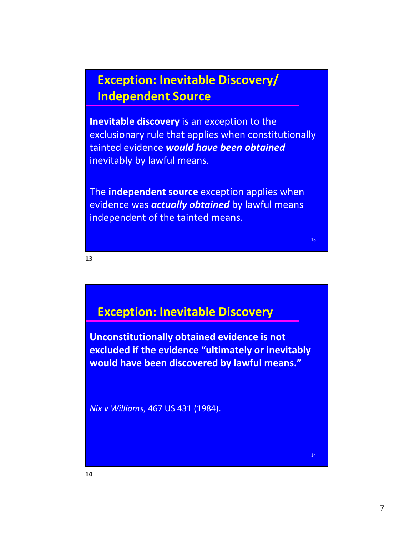## **Exception: Inevitable Discovery/ Independent Source**

**Inevitable discovery** is an exception to the exclusionary rule that applies when constitutionally tainted evidence *would have been obtained* inevitably by lawful means.

The **independent source** exception applies when evidence was *actually obtained* by lawful means independent of the tainted means.

**13**

## **Exception: Inevitable Discovery**

**Unconstitutionally obtained evidence is not excluded if the evidence "ultimately or inevitably would have been discovered by lawful means."**

*Nix v Williams*, 467 US 431 (1984).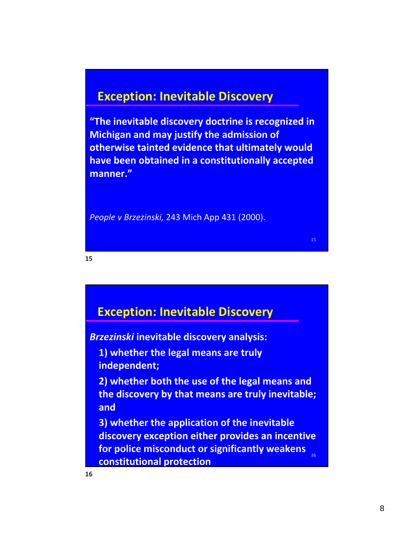### **Exception: Inevitable Discovery**

**"The inevitable discovery doctrine is recognized in Michigan and may justify the admission of otherwise tainted evidence that ultimately would have been obtained in a constitutionally accepted manner."**

*People v Brzezinski,* 243 Mich App 431 (2000).

**15**

# **Exception: Inevitable Discovery**

*Brzezinski* **inevitable discovery analysis:**

 **1) whether the legal means are truly independent;**

 **2) whether both the use of the legal means and the discovery by that means are truly inevitable; and**

16 **3) whether the application of the inevitable discovery exception either provides an incentive for police misconduct or significantly weakens constitutional protection**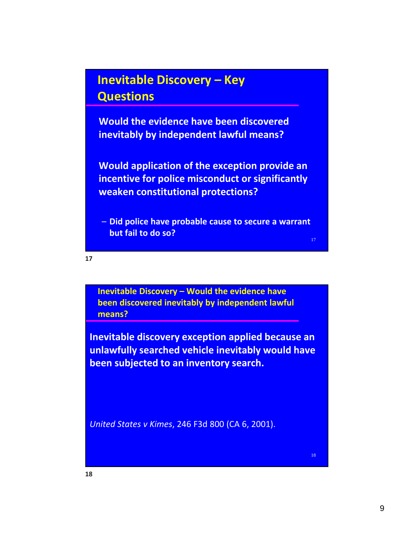## **Inevitable Discovery – Key Questions**

 **Would the evidence have been discovered inevitably by independent lawful means?**

 **Would application of the exception provide an incentive for police misconduct or significantly weaken constitutional protections?**

– **Did police have probable cause to secure a warrant but fail to do so?**

17

**17**

**Inevitable Discovery – Would the evidence have been discovered inevitably by independent lawful means?**

**Inevitable discovery exception applied because an unlawfully searched vehicle inevitably would have been subjected to an inventory search.**

*United States v Kimes*, 246 F3d 800 (CA 6, 2001).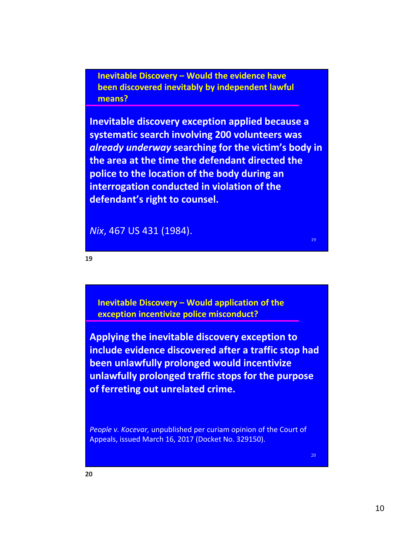**Inevitable Discovery – Would the evidence have been discovered inevitably by independent lawful means?**

**Inevitable discovery exception applied because a systematic search involving 200 volunteers was** *already underway* **searching for the victim's body in the area at the time the defendant directed the police to the location of the body during an interrogation conducted in violation of the defendant's right to counsel.**

*Nix*, 467 US 431 (1984).

**19**

**Inevitable Discovery – Would application of the exception incentivize police misconduct?**

**Applying the inevitable discovery exception to include evidence discovered after a traffic stop had been unlawfully prolonged would incentivize unlawfully prolonged traffic stops for the purpose of ferreting out unrelated crime.**

*People v. Kocevar,* unpublished per curiam opinion of the Court of Appeals, issued March 16, 2017 (Docket No. 329150).

20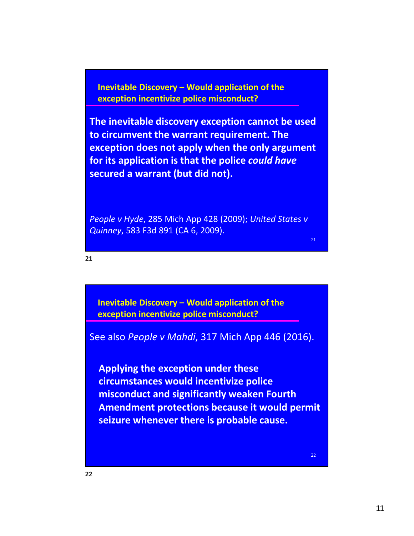**Inevitable Discovery – Would application of the exception incentivize police misconduct?**

**The inevitable discovery exception cannot be used to circumvent the warrant requirement. The exception does not apply when the only argument for its application is that the police** *could have* **secured a warrant (but did not).**

*People v Hyde*, 285 Mich App 428 (2009); *United States v Quinney*, 583 F3d 891 (CA 6, 2009).

**21**

**Inevitable Discovery – Would application of the exception incentivize police misconduct?**

See also *People v Mahdi*, 317 Mich App 446 (2016).

 **Applying the exception under these circumstances would incentivize police misconduct and significantly weaken Fourth Amendment protections because it would permit seizure whenever there is probable cause.**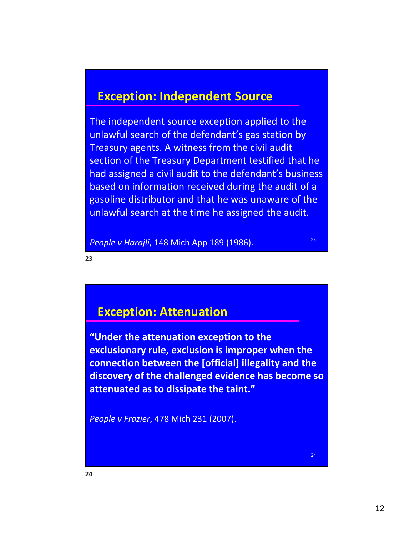### **Exception: Independent Source**

The independent source exception applied to the unlawful search of the defendant's gas station by Treasury agents. A witness from the civil audit section of the Treasury Department testified that he had assigned a civil audit to the defendant's business based on information received during the audit of a gasoline distributor and that he was unaware of the unlawful search at the time he assigned the audit.

*People v Harajli*, 148 Mich App 189 (1986).

23

**23**

### **Exception: Attenuation**

**"Under the attenuation exception to the exclusionary rule, exclusion is improper when the connection between the [official] illegality and the discovery of the challenged evidence has become so attenuated as to dissipate the taint."**

*People v Frazier*, 478 Mich 231 (2007).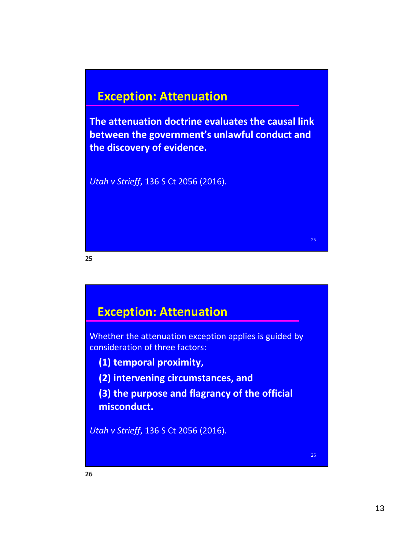## **Exception: Attenuation**

**The attenuation doctrine evaluates the causal link between the government's unlawful conduct and the discovery of evidence.**

*Utah v Strieff*, 136 S Ct 2056 (2016).

**25**

### **Exception: Attenuation**

Whether the attenuation exception applies is guided by consideration of three factors:

- **(1) temporal proximity,**
- **(2) intervening circumstances, and**

 **(3) the purpose and flagrancy of the official misconduct.**

*Utah v Strieff*, 136 S Ct 2056 (2016).

25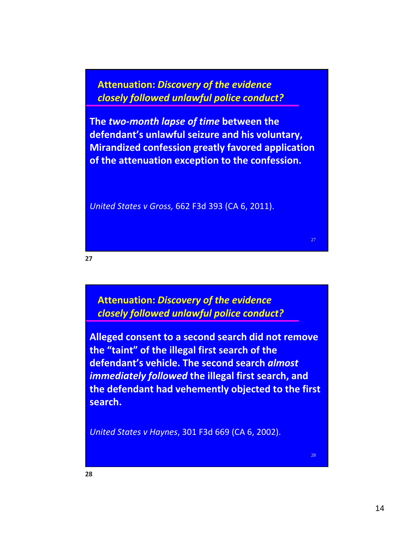**Attenuation:** *Discovery of the evidence closely followed unlawful police conduct?*

**The** *two‐month lapse of time* **between the defendant's unlawful seizure and his voluntary, Mirandized confession greatly favored application of the attenuation exception to the confession.**

*United States v Gross,* 662 F3d 393 (CA 6, 2011).

**27**

**Attenuation:** *Discovery of the evidence closely followed unlawful police conduct?*

**Alleged consent to a second search did not remove the "taint" of the illegal first search of the defendant's vehicle. The second search** *almost immediately followed* **the illegal first search, and the defendant had vehemently objected to the first search.**

*United States v Haynes*, 301 F3d 669 (CA 6, 2002).

27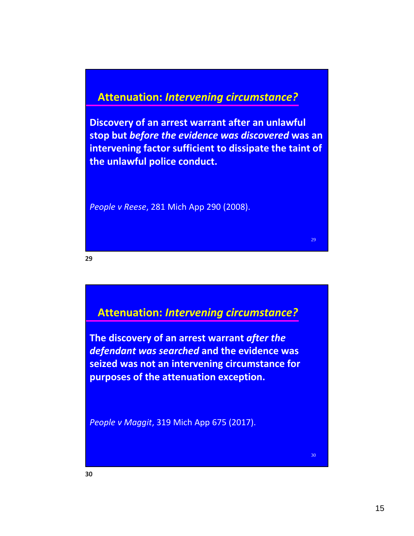#### **Attenuation:** *Intervening circumstance?*

**Discovery of an arrest warrant after an unlawful stop but** *before the evidence was discovered* **was an intervening factor sufficient to dissipate the taint of the unlawful police conduct.**

*People v Reese*, 281 Mich App 290 (2008).

**29**

#### **Attenuation:** *Intervening circumstance?*

**The discovery of an arrest warrant** *after the defendant was searched* **and the evidence was seized was not an intervening circumstance for purposes of the attenuation exception.**

*People v Maggit*, 319 Mich App 675 (2017).

30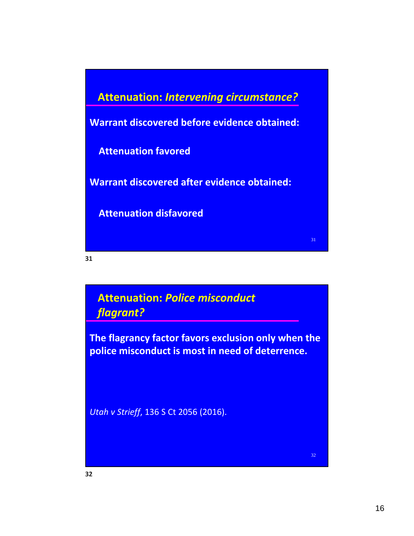

**31**

### **Attenuation:** *Police misconduct flagrant?*

**The flagrancy factor favors exclusion only when the police misconduct is most in need of deterrence.**

*Utah v Strieff*, 136 S Ct 2056 (2016).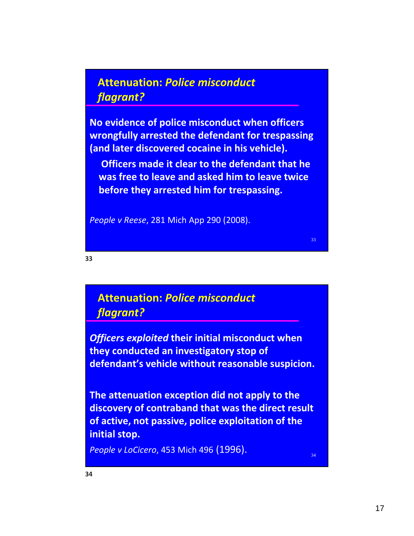### **Attenuation:** *Police misconduct flagrant?*

**No evidence of police misconduct when officers wrongfully arrested the defendant for trespassing (and later discovered cocaine in his vehicle).**

 **Officers made it clear to the defendant that he was free to leave and asked him to leave twice before they arrested him for trespassing.**

33

34

*People v Reese*, 281 Mich App 290 (2008).

**33**

### **Attenuation:** *Police misconduct flagrant?*

*Officers exploited* **their initial misconduct when they conducted an investigatory stop of defendant's vehicle without reasonable suspicion.**

**The attenuation exception did not apply to the discovery of contraband that was the direct result of active, not passive, police exploitation of the initial stop.**

*People v LoCicero*, 453 Mich 496 (1996).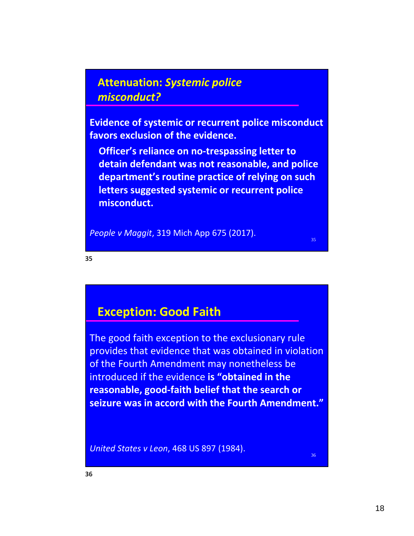### **Attenuation:** *Systemic police misconduct?*

**Evidence of systemic or recurrent police misconduct favors exclusion of the evidence.**

 **Officer's reliance on no‐trespassing letter to detain defendant was not reasonable, and police department's routine practice of relying on such letters suggested systemic or recurrent police misconduct.**

*People v Maggit*, 319 Mich App 675 (2017).

35

**35**

### **Exception: Good Faith**

The good faith exception to the exclusionary rule provides that evidence that was obtained in violation of the Fourth Amendment may nonetheless be introduced if the evidence **is "obtained in the reasonable, good‐faith belief that the search or seizure was in accord with the Fourth Amendment."**

*United States v Leon*, 468 US 897 (1984).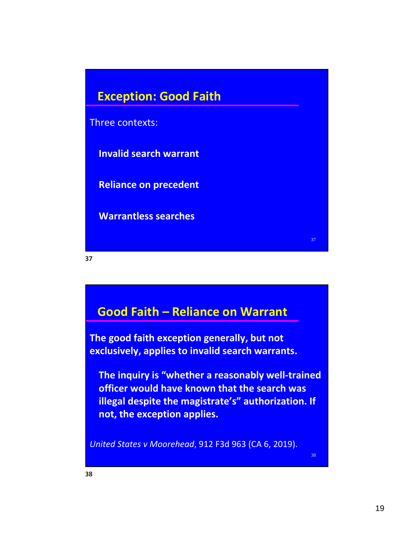

**37**

## **Good Faith – Reliance on Warrant**

**The good faith exception generally, but not exclusively, applies to invalid search warrants.**

 **The inquiry is "whether a reasonably well‐trained officer would have known that the search was illegal despite the magistrate's" authorization. If not, the exception applies.**

*United States v Moorehead*, 912 F3d 963 (CA 6, 2019).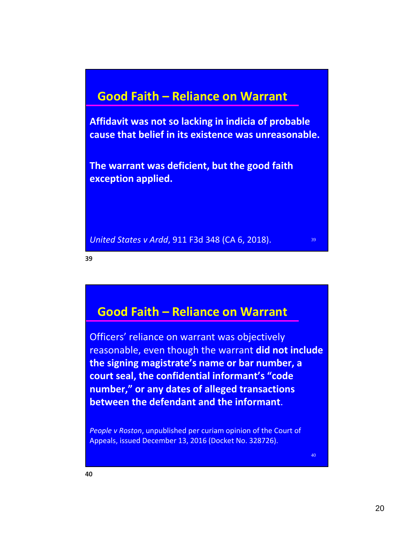### **Good Faith – Reliance on Warrant**

**Affidavit was not so lacking in indicia of probable cause that belief in its existence was unreasonable.**

**The warrant was deficient, but the good faith exception applied.**

*United States v Ardd*, 911 F3d 348 (CA 6, 2018).

**39**

### **Good Faith – Reliance on Warrant**

Officers' reliance on warrant was objectively reasonable, even though the warrant **did not include the signing magistrate's name or bar number, a court seal, the confidential informant's "code number," or any dates of alleged transactions between the defendant and the informant**.

*People v Roston*, unpublished per curiam opinion of the Court of Appeals, issued December 13, 2016 (Docket No. 328726).

40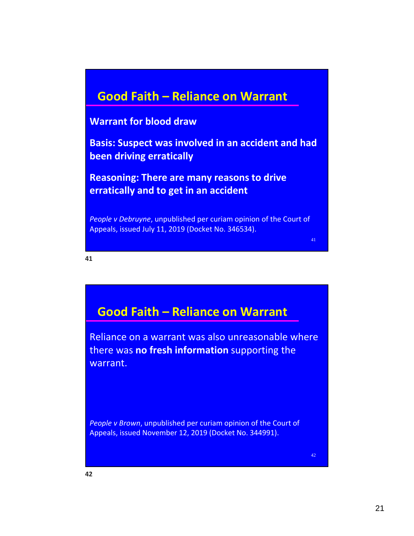### **Good Faith – Reliance on Warrant**

#### **Warrant for blood draw**

**Basis: Suspect was involved in an accident and had been driving erratically**

**Reasoning: There are many reasons to drive erratically and to get in an accident**

*People v Debruyne*, unpublished per curiam opinion of the Court of Appeals, issued July 11, 2019 (Docket No. 346534).

41

#### **41**

## **Good Faith – Reliance on Warrant**

Reliance on a warrant was also unreasonable where there was **no fresh information** supporting the warrant.

*People v Brown*, unpublished per curiam opinion of the Court of Appeals, issued November 12, 2019 (Docket No. 344991).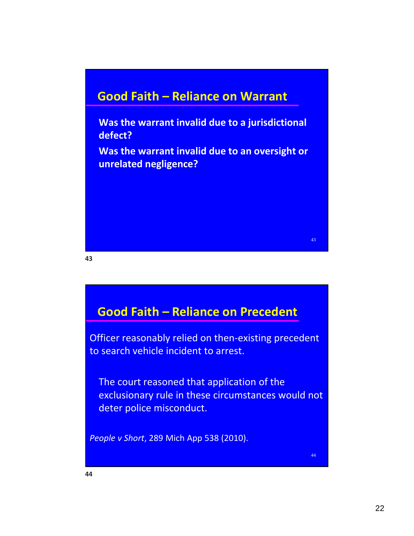## **Good Faith – Reliance on Warrant**

 **Was the warrant invalid due to a jurisdictional defect?**

 **Was the warrant invalid due to an oversight or unrelated negligence?**

**43**

## **Good Faith – Reliance on Precedent**

Officer reasonably relied on then‐existing precedent to search vehicle incident to arrest.

 The court reasoned that application of the exclusionary rule in these circumstances would not deter police misconduct.

*People v Short*, 289 Mich App 538 (2010).

43